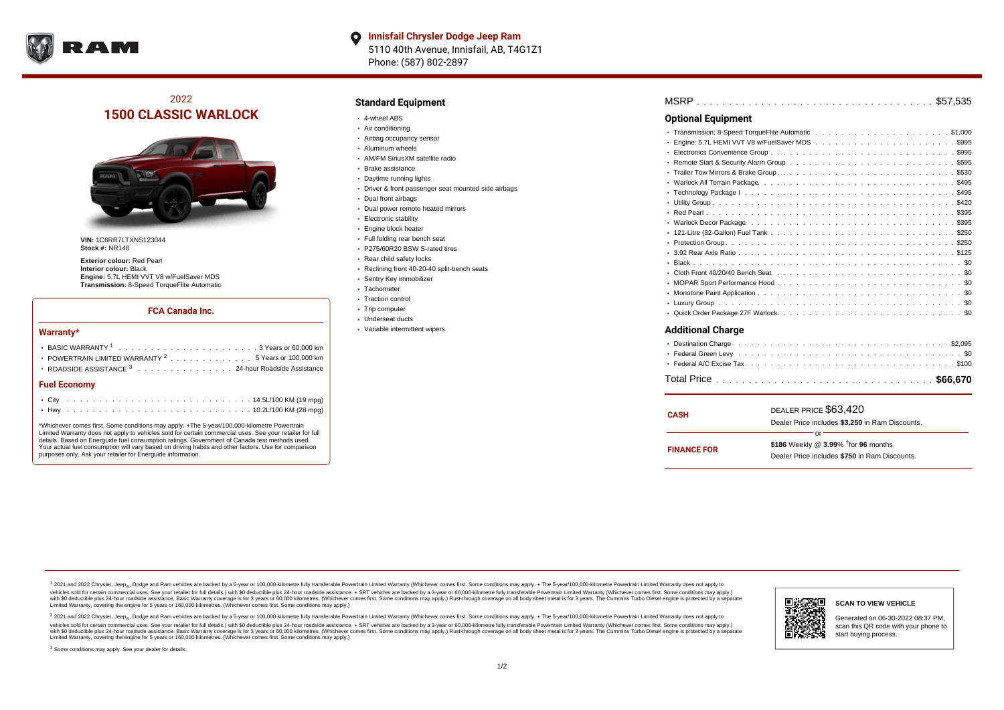

# 2022 **1500 CLASSIC WARLOCK**



**VIN:** 1C6RR7LTXNS123044 **Stock #:** NR148

**Exterior colour:** Red Pearl **Interior colour:** Black **Engine:** 5.7L HEMI VVT V8 w/FuelSaver MDS **Transmission:** 8-Speed TorqueFlite Automatic

### **FCA Canada Inc.**

#### **Warranty\***

| • POWERTRAIN LIMITED WARRANTY $2 \ldots \ldots \ldots \ldots \ldots 5$ Years or 100,000 km |  |  |  |  |  |  |
|--------------------------------------------------------------------------------------------|--|--|--|--|--|--|
| • ROADSIDE ASSISTANCE 3 24-hour Roadside Assistance                                        |  |  |  |  |  |  |
| <b>Fuel Economy</b>                                                                        |  |  |  |  |  |  |
|                                                                                            |  |  |  |  |  |  |

\*Whichever comes first. Some conditions may apply. +The 5-year/100,000-kilometre Powertrain Limited Warranty does not apply to vehicles sold for certain commercial uses. See your retailer for full details. Based on Energuide fuel consumption ratings. Government of Canada test methods used. Your actual fuel consumption will vary based on driving habits and other factors. Use for comparison purposes only. Ask your retailer for Energuide information.

. . . . . . . . . . . . . . . . . . . . . . . . . . . . . . . . . . . . . . . . . . . Hwy 10.2L/100 KM (28 mpg)

### **Standard Equipment**

- 4-wheel ABS
- Air conditioning
- Airbag occupancy sensor
- Aluminum wheels
- AM/FM SiriusXM satellite radio
- Brake assistance
- Daytime running lights
- Driver & front passenger seat mounted side airbags
- Dual front airbags
- Dual power remote heated mirrors
- **Electronic stability**
- Engine block heater
- Full folding rear bench seat
- P275/60R20 BSW S-rated tires
- Rear child safety locks
- Reclining front 40-20-40 split-bench seats
- Sentry Key immobilizer
- Tachometer
- Traction control • Trip computer
- Underseat ducts
- Variable intermittent wipers

| <b>Optional Equipment</b> |  |
|---------------------------|--|
|                           |  |
|                           |  |
|                           |  |
|                           |  |
|                           |  |
|                           |  |
|                           |  |
|                           |  |
|                           |  |
|                           |  |
|                           |  |
|                           |  |
|                           |  |
|                           |  |
|                           |  |
|                           |  |
|                           |  |
|                           |  |
|                           |  |
| <b>Additional Charge</b>  |  |

| CASH               | DEALER PRICE \$63,420<br>Dealer Price includes \$3.250 in Ram Discounts.                                  |
|--------------------|-----------------------------------------------------------------------------------------------------------|
| <b>FINANCE FOR</b> | Ωr<br>\$186 Weekly @ $3.99\%$ <sup>†</sup> for 96 months<br>Dealer Price includes \$750 in Ram Discounts. |

1 2021 and 2022 Chrysler, Jeep<sub>en</sub> Dodge and Ram vehicles are backed by a 5-year or 100,000-kilometre fully transferable Powertrain Limited Warranty (Whichever comes first. Some conditions may apply. + The 5-year/100,000-k vehicles sold for certain commercial uses. See your retailer for full details.) with \$0 deductible plus 24-hour roadside assistance. + SRT vehicles are backed by a 3-year or 60,000-kilometre fully transferable Powertrain L versus and contract the mean of the contract of the contract with a contract with a contract the contract of the search of the contract and a control of the contract and contract and control of the search of the search of Limited Warranty, covering the engine for 5 years or 160,000 kilometres. (Whichever comes first. Some conditions may apply.)

<sup>2</sup> 2021 and 2022 Chrysler, Jeep<sub>®</sub>, Dodge and Ram vehicles are backed by a 5-year or 100,000-kilometre fully transferable Powertrain Limited Warranty (Whichever comes first. Some conditions may apply. + The 5-year/100,000 vehicles sold for certain commercial uses. See your retailer for full details.) with SO deductible plus 24-hour roadside assistance. + SRT vehicles are backed by a 3-year or 60.000-kilometre fully transferable Powertrain L with S0 deductible plus 24-hour roadside assistance. Basic Warranty coverage is for 3 years or 60,000 kilometres. (Whichever comes first. Some conditions may apply.) Rust-through coverage on all body sheet metal is for 3 y

<sup>3</sup> Some conditions may apply. See your dealer for details.

#### Generated on 06-30-2022 08:37 PM, scan this QR code with your phone to start buying process.